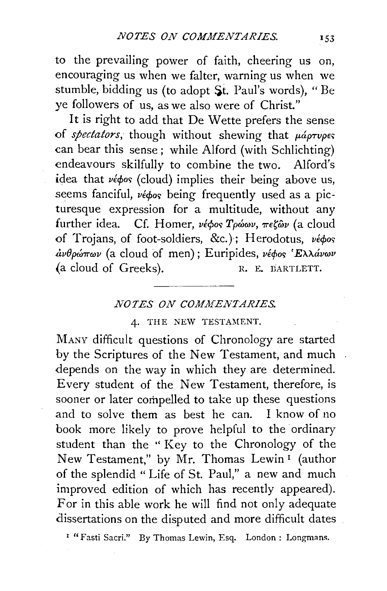to the prevailing power of faith, cheering us on, encouraging us when we falter, warning us when we stumble, bidding us (to adopt  $St.$  Paul's words), "Be *ye* followers of us, as we also were of Christ."

It is right to add that De Wette prefers the sense of *spectators*, though without shewing that  $\mu\acute{a}$ <sub>pTupes</sub> can bear this sense; while Alford (with Schlichting) endeavours skilfully to combine the two. Alford's idea that  $\nu \notin \phi$ os (cloud) implies their being above us, seems fanciful, védos being frequently used as a picturesque expression for a multitude, without any further idea. Cf. Homer, *νέφος Τρώων*, πεζών (a cloud of Trojans, of foot-soldiers, &c.); Herodotus,  $\nu \neq \phi \circ s$  $\partial \omega \partial \rho$ ώπων (a cloud of men); Euripides, νέφος 'Ελλάνων (a cloud of Greeks). R. E. BARTLETT.

## **NOTES ON COMMENTARIES.**

## 4. THE NEW TESTAMENT.

MANY difficult questions of Chronology are started by the Scriptures of the New Testament, and much depends on the way in which they are determined. Every student of the *New* Testament, therefore, is sooner or later compelled to take up these questions and to solve them as best he can. I know of no book more likely to prove helpful to the ordinary student than the " Key to the Chronology of the New Testament," by Mr. Thomas Lewin 1 (author of the splendid " Life of St. Paul," a new and much improved edition of which has recently appeared). For in this able work he will find not only adequate dissertations on the disputed and more difficult dates

1 "Fasti Sacri." By Thomas Lewin, Esq. London : Longmans.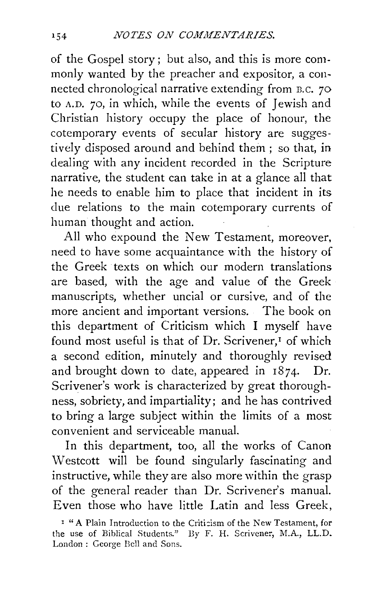of the Gospel story ; but also, and this is more commonly wanted by the preacher and expositor, a connected chronological narrative extending from B.C. 70 to A.D. 70, in which, while the events of Jewish and Christian history occupy the place of honour, the cotemporary events of secular history are suggestively disposed around and behind them ; so that, in dealing with any incident recorded in the Scripture narrative, the student can take in at a glance all that he needs to enable him to place that incident in its due relations to the main cotemporary currents of human thought and action.

All who expound the New Testament, moreover, need to have some acquaintance with the history of the Greek texts on which our modern translations are based, with the age and value of the Greek manuscripts, whether uncial or cursive, and of the more ancient and important versions. The book on this department of Criticism which I myself have found most useful is that of  $Dr.$  Scrivener,<sup> $I$ </sup> of which a second edition, minutely and thoroughly revised and brought down to date, appeared in  $1874$ . Dr. Scrivener's work is characterized by great thoroughness, sobriety, and impartiality; and he has contrived to bring a large subject within the limits of a most convenient and serviceable manual.

In this department, too, all the works of Canon Westcott will be found singularly fascinating and instructive, while they are also more within the grasp of the general reader than Dr. Scrivener's manual. Even those who have little Latin and less Greek,

<sup>&</sup>lt;sup>I</sup> "A Plain Introduction to the Criticism of the New Testament, for the use of Biblical Students." By F. H. Scrivener, M.A., LL.D. London : George Bell and Sons.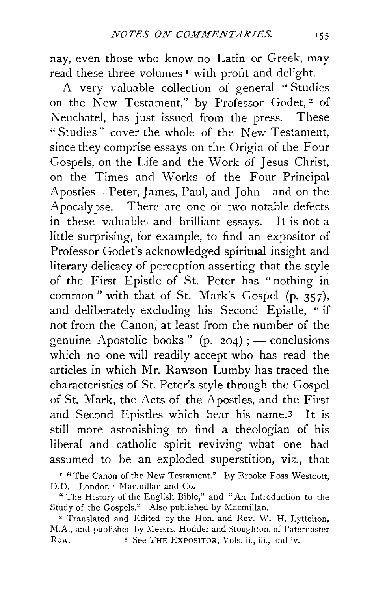nay, even those who know no Latin or Greek, may read these three volumes<sup>1</sup> with profit and delight.

A very valuable collection of general " Studies on the New Testament," by Professor Godet, 2 of Neuchatel, has just issued from the press. These " Studies" cover the whole of the New Testament, since they comprise essays on the Origin of the Four Gospels, on the Life and the Work of Jesus Christ, on the Times and Works of the four Principal Apostles-Peter, James, Paul, and John-and on the Apocalypse. There are one or two notable defects in these valuable, and brilliant essays. It is not a little surprising, for example, to find an expositor of Professor Godet's acknowledged spiritual insight and literary delicacy of perception asserting that the style of the First Epistle of St. Peter has "nothing in common " with that of St. Mark's Gospel (p. 357), and deliberately excluding his Second Epistle, " if not from the Canon, at least from the number of the genuine Apostolic books"  $(p. 204)$ ; - conclusions which no one will readily accept who has read the articles in which Mr. Rawson Lumby has traced the characteristics of St. Peter's style through the Gospel of St. Mark, the Acts of the Apostles, and the First and Second Epistles which bear his name.3 It is still more astonishing to find a theologian of his liberal and catholic spirit reviving what one had assumed to be an exploded superstition, viz., that

I "The Canon of the New Testament." By Brooke Foss Westcott, D.D. London : Macmillan and Co.

"The History of the English Bible," and "An Introduction to the Study of the Gospels." Also published by Macmillan.

<sup>2</sup> Translated and Edited by the Hon. and Rev. W. H. Lyttelton, M.A., and published by Messrs. Hodder and Stoughton, of Paternoster Row. 3 See THE EXPOSITOR, Vols. ii., iii., and iv.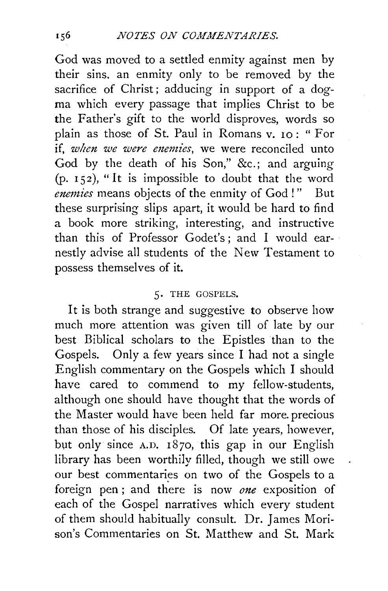God was moved to a settled enmity against men by their sins. an enmity only to be removed by the sacrifice of Christ; adducing in support of a dogma which every passage that implies Christ to be the Father's gift to the world disproves, words so plain as those of St. Paul in Romans v. 10: "For if, *when we were enemies*, we were reconciled unto God by the death of his Son," &c.; and arguing  $(p. 152)$ , "It is impossible to doubt that the word *enemies* means objects of the enmity of God ! " But these surprising slips apart, it would be hard to find a book more striking, interesting, and instructive than this of Professor Godet's; and I would earnestly advise all students of the New Testament to possess themselves of it.

## 5. THE GOSPELS.

It is both strange and suggestive to observe how much more attention was given till of late by our best Biblical scholars to the Epistles than to the Gospels. Only a few years since I had not a single English commentary on the Gospels which I should have cared to commend to my fellow-students, although one should have thought that the words of the Master would have been held far more. precious than those of his disciples. Of late years, however, but only since A.D. 1870, this gap in our English library has been worthily filled, though we still owe our best commentaries on two of the Gospels to a foreign pen ; and there is now *one* exposition of each of the Gospel narratives which every student of them should habitually consult. Dr. James Morison's Commentaries on St. Matthew and St. Mark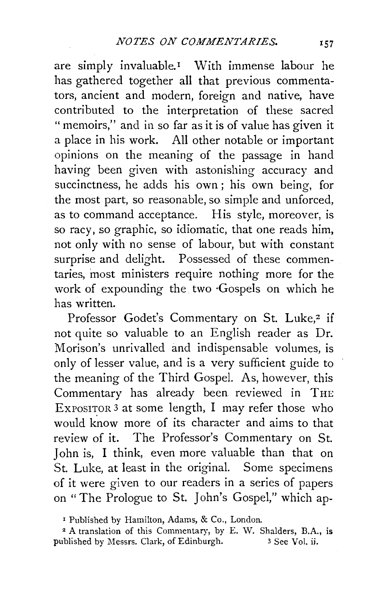are simply invaluable.<sup>1</sup> With immense labour he has gathered together all that previous commentators, ancient and modern, foreign and native, have contributed to the interpretation of these sacred " memoirs," and in so far as it is of value has given it a place in his work. All other notable or important opinions on the meaning of the passage in hand having been given with astonishing accuracy and succinctness, he adds his own ; his own being, for the most part, so reasonable, so simple and unforced, as to command acceptance. His style, moreover, is so racy, so graphic, so idiomatic, that one reads him, not only with no sense of labour, but with constant surprise and delight. Possessed of these commentaries, most ministers require nothing more for the work of expounding the two ·Gospels on which he has written.

Professor Godet's Commentary on St. Luke,<sup>2</sup> if not quite so valuable to an English reader as Dr. Morison's unrivalled and indispensable volumes, is only of lesser value, and is a very sufficient guide to the meaning of the Third Gospel. As, however, this Commentary has already been reviewed in THE EXPOSITOR 3 at some length, I may refer those who would know more of its character and aims to that review of it. The Professor's Commentary on St. John is, I think, even more valuable than that on St. Luke, at least in the original. Some specimens of it were given to our readers in a series of papers on "The Prologue to St. John's Gospel," which ap-

<sup>1</sup> Published by Hamilton, Adams, & Co., London.

2 A translation of this Commentary, by E. W. Shalders, B.A., is published by Messrs. Clark, of Edinburgh. 3 See Vol. ii.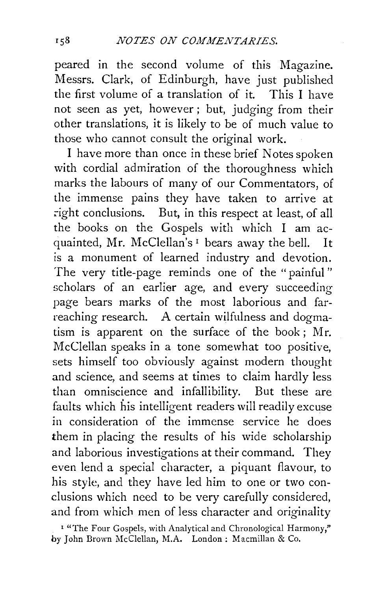peared in the second volume of this Magazine. Messrs. Clark, of Edinburgh, have just published the first volume of a translation of it. This I have not seen as yet, however ; but, judging from their other translations, it is likely to be of much value to those who cannot consult the original work.

I have more than once in these brief Notes spoken with cordial admiration of the thoroughness which marks the labours of many of our Commentators, of the immense pains they have taken to arrive at right conclusions. But, in this respect at least, of all the books on the Gospels with which I am acquainted, Mr. McClellan's 1 bears away the bell. It is a monument of learned industry and devotion. The very title-page reminds one of the "painful" scholars of an earlier age, and every succeeding page bears marks of the most laborious and farreaching research. A certain wilfulness and dogmatism is apparent on the surface of the book ; Mr. McClellan speaks in a tone somewhat too positive, sets himself too obviously against modern thought and science, and seems at times to claim hardly less than omniscience and infallibility. But these are faults which his intelligent readers will readily excuse in consideration of the immense service he does them in placing the results of his wide scholarship and laborious investigations at their command. They even lend a special character, a piquant flavour, to his style, and they have led him to one or two conclusions which need to be very carefully considered, and from which men of less character and originality

<sup>1</sup> "The Four Gospels, with Analytical and Chronological Harmony," by John Brown McC!ellan, M.A. London: Macrnillan & Co.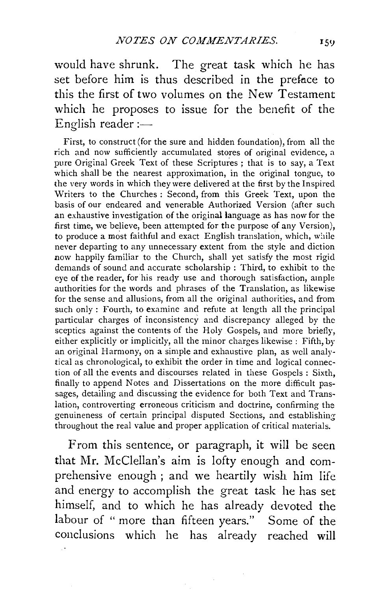would have shrunk. The great task which he has set before him is thus described in the prefnce to this the first of two volumes on the New Testament which he proposes to issue for the benefit of the English reader :-

First, to construct (for the sure and hidden foundation), from all the rich and now sufficiently accumulated stores of original evidence, a pure Original Greek Text of these Scriptures ; that is to say, a Text which shall be the nearest approximation, in the original tongue, to the very words in which they were delivered at the first by the Inspired Writers to the Churches : Second, from this Greek Text, upon the basis of our endeared and venerable Authorized Version (after such an exhaustive investigation of the original language as has now for the first time, we believe, been attempted for the purpose of any Version), to produce a most faithful and exact English translation, which, while never departing to any unnecessary extent from the style and diction now happily familiar to the Church, shall yet satisfy the most rigid demands of sound and accurate scholarship : Third, to exhibit to the eye of the reader, for his ready use and thorough satisfaction, ample authorities for the words and phrases of the Translation, as likewise for the sense and allusions, from all the original authorities, and from such only : Fourth, to examine and refute at length all the principal particular charges of inconsistency and discrepancy alleged by the sceptics against the contents of the Holy Gospels, and more briefly, either explicitly or implicitly, all the minor charges likewise : Fifth, by an original Harmony, on a simple and exhaustive plan, as well analytical as chronological, to exhibit the order in time and logical connection of all the events and discourses related in these Gospels : Sixth, finally to append Notes and Dissertations on the more difficult passages, detailing and discussing the evidence for both Text and Translation, controverting erroneous criticism and doctrine, confirming the genuineness of certain principal disputed Sections, and establishing throughout the real value and proper application of critical materials.

From this sentence, or paragraph, **it** will be seen that Mr. McClellan's aim is lofty enough and comprehensive enough ; and we heartily wish him life and energy to accomplish the great task he has set himself, and to which he has already devoted the labour of " more than fifteen years." Some of the conclusions which he has already reached **will**